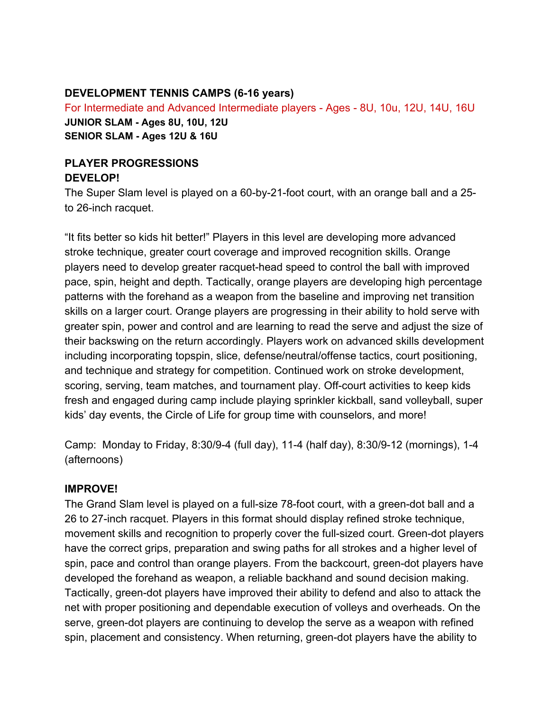## **DEVELOPMENT TENNIS CAMPS (6-16 years)**

For Intermediate and Advanced Intermediate players - Ages - 8U, 10u, 12U, 14U, 16U **JUNIOR SLAM - Ages 8U, 10U, 12U SENIOR SLAM - Ages 12U & 16U**

## **PLAYER PROGRESSIONS DEVELOP!**

The Super Slam level is played on a 60-by-21-foot court, with an orange ball and a 25 to 26-inch racquet.

"It fits better so kids hit better!" Players in this level are developing more advanced stroke technique, greater court coverage and improved recognition skills. Orange players need to develop greater racquet-head speed to control the ball with improved pace, spin, height and depth. Tactically, orange players are developing high percentage patterns with the forehand as a weapon from the baseline and improving net transition skills on a larger court. Orange players are progressing in their ability to hold serve with greater spin, power and control and are learning to read the serve and adjust the size of their backswing on the return accordingly. Players work on advanced skills development including incorporating topspin, slice, defense/neutral/offense tactics, court positioning, and technique and strategy for competition. Continued work on stroke development, scoring, serving, team matches, and tournament play. Off-court activities to keep kids fresh and engaged during camp include playing sprinkler kickball, sand volleyball, super kids' day events, the Circle of Life for group time with counselors, and more!

Camp: Monday to Friday, 8:30/9-4 (full day), 11-4 (half day), 8:30/9-12 (mornings), 1-4 (afternoons)

## **IMPROVE!**

The Grand Slam level is played on a full-size 78-foot court, with a green-dot ball and a 26 to 27-inch racquet. Players in this format should display refined stroke technique, movement skills and recognition to properly cover the full-sized court. Green-dot players have the correct grips, preparation and swing paths for all strokes and a higher level of spin, pace and control than orange players. From the backcourt, green-dot players have developed the forehand as weapon, a reliable backhand and sound decision making. Tactically, green-dot players have improved their ability to defend and also to attack the net with proper positioning and dependable execution of volleys and overheads. On the serve, green-dot players are continuing to develop the serve as a weapon with refined spin, placement and consistency. When returning, green-dot players have the ability to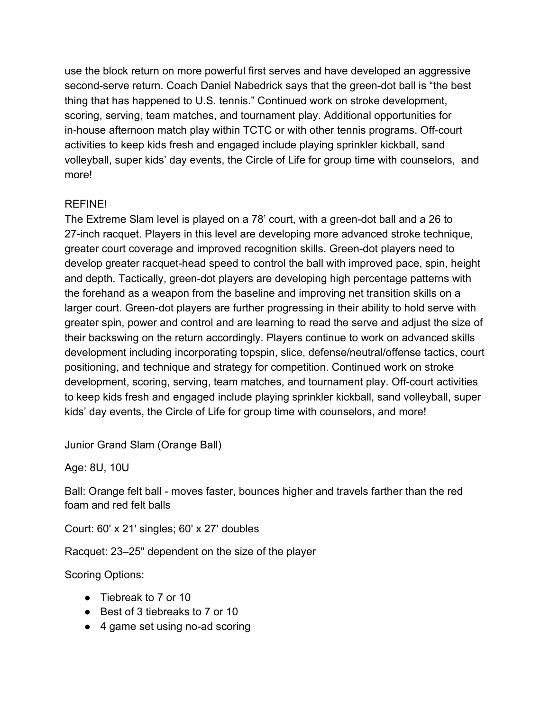use the block return on more powerful first serves and have developed an aggressive second-serve return. Coach Daniel Nabedrick says that the green-dot ball is "the best thing that has happened to U.S. tennis." Continued work on stroke development, scoring, serving, team matches, and tournament play. Additional opportunities for in-house afternoon match play within TCTC or with other tennis programs. Off-court activities to keep kids fresh and engaged include playing sprinkler kickball, sand volleyball, super kids' day events, the Circle of Life for group time with counselors, and more!

## REFINE!

The Extreme Slam level is played on a 78' court, with a green-dot ball and a 26 to 27-inch racquet. Players in this level are developing more advanced stroke technique, greater court coverage and improved recognition skills. Green-dot players need to develop greater racquet-head speed to control the ball with improved pace, spin, height and depth. Tactically, green-dot players are developing high percentage patterns with the forehand as a weapon from the baseline and improving net transition skills on a larger court. Green-dot players are further progressing in their ability to hold serve with greater spin, power and control and are learning to read the serve and adjust the size of their backswing on the return accordingly. Players continue to work on advanced skills development including incorporating topspin, slice, defense/neutral/offense tactics, court positioning, and technique and strategy for competition. Continued work on stroke development, scoring, serving, team matches, and tournament play. Off-court activities to keep kids fresh and engaged include playing sprinkler kickball, sand volleyball, super kids' day events, the Circle of Life for group time with counselors, and more!

Junior Grand Slam (Orange Ball)

Age: 8U, 10U

Ball: Orange felt ball - moves faster, bounces higher and travels farther than the red foam and red felt balls

Court: 60' x 21' singles; 60' x 27' doubles

Racquet: 23–25" dependent on the size of the player

Scoring Options:

- Tiebreak to 7 or 10
- Best of 3 tiebreaks to 7 or 10
- 4 game set using no-ad scoring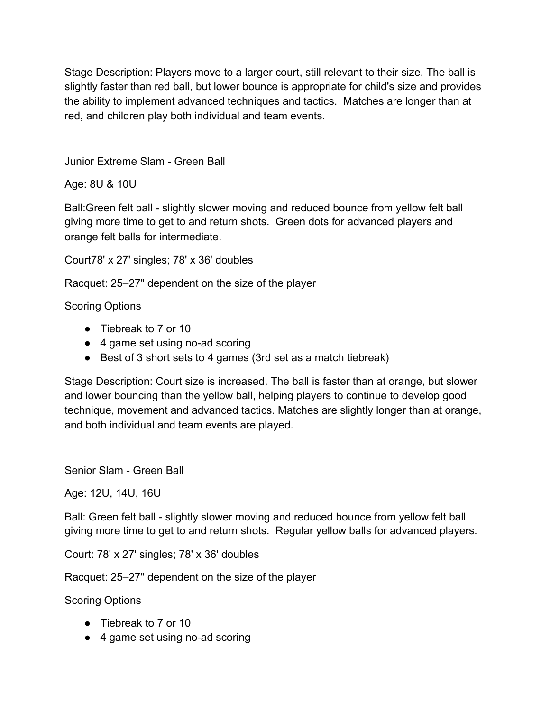Stage Description: Players move to a larger court, still relevant to their size. The ball is slightly faster than red ball, but lower bounce is appropriate for child's size and provides the ability to implement advanced techniques and tactics. Matches are longer than at red, and children play both individual and team events.

Junior Extreme Slam - Green Ball

Age: 8U & 10U

Ball:Green felt ball - slightly slower moving and reduced bounce from yellow felt ball giving more time to get to and return shots. Green dots for advanced players and orange felt balls for intermediate.

Court78' x 27' singles; 78' x 36' doubles

Racquet: 25–27" dependent on the size of the player

Scoring Options

- Tiebreak to 7 or 10
- 4 game set using no-ad scoring
- Best of 3 short sets to 4 games (3rd set as a match tiebreak)

Stage Description: Court size is increased. The ball is faster than at orange, but slower and lower bouncing than the yellow ball, helping players to continue to develop good technique, movement and advanced tactics. Matches are slightly longer than at orange, and both individual and team events are played.

Senior Slam - Green Ball

Age: 12U, 14U, 16U

Ball: Green felt ball - slightly slower moving and reduced bounce from yellow felt ball giving more time to get to and return shots. Regular yellow balls for advanced players.

Court: 78' x 27' singles; 78' x 36' doubles

Racquet: 25–27" dependent on the size of the player

Scoring Options

- Tiebreak to 7 or 10
- 4 game set using no-ad scoring